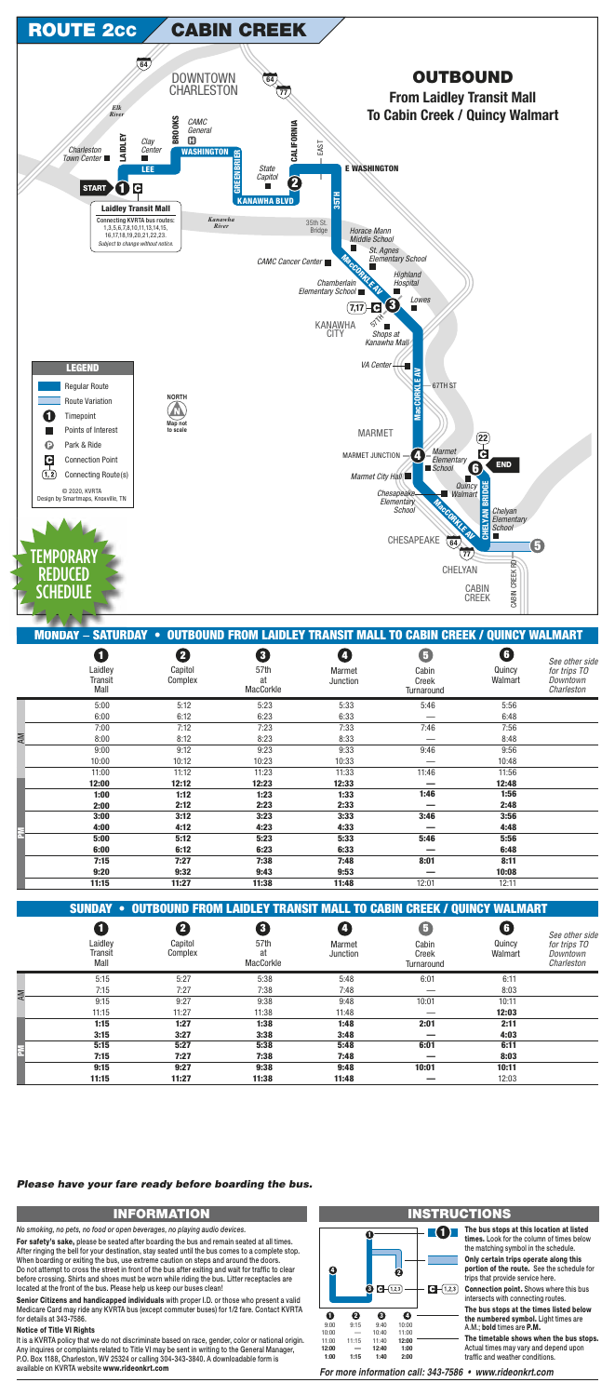|   | סט.ד    | 7. I 4                                                                             | יבי       | ייי                      |            | 7.7U    |                |
|---|---------|------------------------------------------------------------------------------------|-----------|--------------------------|------------|---------|----------------|
|   | 5:00    | 5:12                                                                               | 5:23      | 5:33                     | 5:46       | 5:56    |                |
|   | 6:00    | 6:12                                                                               | 6:23      | 6:33                     |            | 6:48    |                |
|   | 7:15    | 7:27                                                                               | 7:38      | 7:48                     | 8:01       | 8:11    |                |
|   | 9:20    | 9:32                                                                               | 9:43      | 9:53                     |            | 10:08   |                |
|   | 11:15   | 11:27                                                                              | 11:38     | 11:48                    | 12:01      | 12:11   |                |
|   |         |                                                                                    |           |                          |            |         |                |
|   |         | <b>SUNDAY • OUTBOUND FROM LAIDLEY TRANSIT MALL TO CABIN CREEK / QUINCY WALMART</b> |           |                          |            |         |                |
|   | 1       | 2                                                                                  | 0         | $\vert \mathbf{4} \vert$ | G          | G       | See other side |
|   | Laidley | Capitol                                                                            | 57th      | Marmet                   | Cabin      | Quincy  | for trips TO   |
|   | Transit | Complex                                                                            | at        | Junction                 | Creek      | Walmart | Downtown       |
|   | Mall    |                                                                                    | MacCorkle |                          | Turnaround |         | Charleston     |
|   | 5:15    | 5:27                                                                               | 5:38      | 5:48                     | 6:01       | 6:11    |                |
| Μ | 7:15    | 7:27                                                                               | 7:38      | 7:48                     |            | 8:03    |                |
|   | 9:15    | 9:27                                                                               | 9:38      | 9:48                     | 10:01      | 10:11   |                |
|   | 11:15   | 11:27                                                                              | 11:38     | 11:48                    |            | 12:03   |                |
|   | 1:15    | 1:27                                                                               | 1:38      | 1:48                     | 2:01       | 2:11    |                |
|   | 3:15    | 3:27                                                                               | 3:38      | 3:48                     |            | 4:03    |                |
|   | 5:15    | 5:27                                                                               | 5:38      | 5:48                     | 6:01       | 6:11    |                |
|   | 7:15    | 7:27                                                                               | 7:38      | 7:48                     |            | 8:03    |                |
|   | 9:15    | 9:27                                                                               | 9:38      | 9:48                     | 10:01      | 10:11   |                |
|   | 11:15   | 11:27                                                                              | 11:38     | 11:48                    |            | 12:03   |                |



| ∽ |       |       |       |       |        |       |  |
|---|-------|-------|-------|-------|--------|-------|--|
|   | 5:00  | 5:12  | 5:23  | 5:33  | 5:46   | 5:56  |  |
|   | 6:00  | 6:12  | 6:23  | 6:33  | $\sim$ | 6:48  |  |
|   | 7:15  | 7:27  | 7:38  | 7:48  | 8:01   | 8:11  |  |
|   | 9:20  | 9:32  | 9:43  | 9:53  | $\sim$ | 10:08 |  |
|   | 11:15 | 11:27 | 11:38 | 11:48 | 12:01  | 12:11 |  |

It is a KVRTA policy that we do not discriminate based on race, gender, color or national origin. Any inquires or complaints related to Title VI may be sent in writing to the General Manager, P.O. Box 1188, Charleston, WV 25324 or calling 304-343-3840. A downloadable form is available on KVRTA website www.rideonkrt.com

|    | <b>MONDAY – SATURDAY • OUTBOUND FROM LAIDLEY TRANSIT MALL TO CABIN CREEK / QUINCY WALMART</b> |                         |                                     |                    |                                   |                        |                                                          |
|----|-----------------------------------------------------------------------------------------------|-------------------------|-------------------------------------|--------------------|-----------------------------------|------------------------|----------------------------------------------------------|
|    | $\mathbf{1}$<br>Laidley<br>Transit<br>Mall                                                    | 2<br>Capitol<br>Complex | 8<br>57th<br>at<br><b>MacCorkle</b> | Marmet<br>Junction | 6<br>Cabin<br>Creek<br>Turnaround | G<br>Quincy<br>Walmart | See other side<br>for trips TO<br>Downtown<br>Charleston |
|    | 5:00                                                                                          | 5:12                    | 5:23                                | 5:33               | 5:46                              | 5:56                   |                                                          |
|    | 6:00                                                                                          | 6:12                    | 6:23                                | 6:33               |                                   | 6:48                   |                                                          |
|    | 7:00                                                                                          | 7:12                    | 7:23                                | 7:33               | 7:46                              | 7:56                   |                                                          |
| ΑM | 8:00                                                                                          | 8:12                    | 8:23                                | 8:33               |                                   | 8:48                   |                                                          |
|    | 9:00                                                                                          | 9:12                    | 9:23                                | 9:33               | 9:46                              | 9:56                   |                                                          |
|    | 10:00                                                                                         | 10:12                   | 10:23                               | 10:33              |                                   | 10:48                  |                                                          |
|    | 11:00                                                                                         | 11:12                   | 11:23                               | 11:33              | 11:46                             | 11:56                  |                                                          |
|    | 12:00                                                                                         | 12:12                   | 12:23                               | 12:33              |                                   | 12:48                  |                                                          |
|    | 1:00                                                                                          | 1:12                    | 1:23                                | 1:33               | 1:46                              | 1:56                   |                                                          |
|    | 2:00                                                                                          | 2:12                    | 2:23                                | 2:33               |                                   | 2:48                   |                                                          |
|    | 3:00                                                                                          | 3:12                    | 3:23                                | 3:33               | 3:46                              | 3:56                   |                                                          |
|    | 4:00                                                                                          | 4:12                    | 4:23                                | 4:33               |                                   | 4:48                   |                                                          |

# **INFORMATION INSTRUCTIONS**

**The bus stops at this location at listed times.** Look for the column of times below the matching symbol in the schedule.

**Only certain trips operate along this portion of the route.** See the schedule for trips that provide service here.

**Connection point.** Shows where this bus intersects with connecting routes.

### **1**  $\mathcal{C}^{\mathcal{A}}$ **1 4 2 3**  $\bigodot - (1,2,3)$ **1 2 3 4** 9:00 9:15 9:40 10:00 10:00 11:00 10:40 — 11:00 11:40 **12:00** 11:15 **12:00 — 12:40 1:00 1:00 1:15 1:40 2:00**

**The bus stops at the times listed below the numbered symbol.** Light times are A.M.; **bold** times are **P.M.**

**The timetable shows when the bus stops.** Actual times may vary and depend upon traffic and weather conditions.

For more information call: 343-7586 · www.rideonkrt.com

*No smoking, no pets, no food or open beverages, no playing audio devices.*

**For safety's sake,** please be seated after boarding the bus and remain seated at all times. After ringing the bell for your destination, stay seated until the bus comes to a complete stop. When boarding or exiting the bus, use extreme caution on steps and around the doors. Do not attempt to cross the street in front of the bus after exiting and wait for traffic to clear before crossing. Shirts and shoes must be worn while riding the bus. Litter receptacles are located at the front of the bus. Please help us keep our buses clean!

**Senior Citizens and handicapped individuals** with proper I.D. or those who present a valid Medicare Card may ride any KVRTA bus (except commuter buses) for 1/2 fare. Contact KVRTA for details at 343-7586.

## **Notice of Title VI Rights**

## *Please have your fare ready before boarding the bus.*